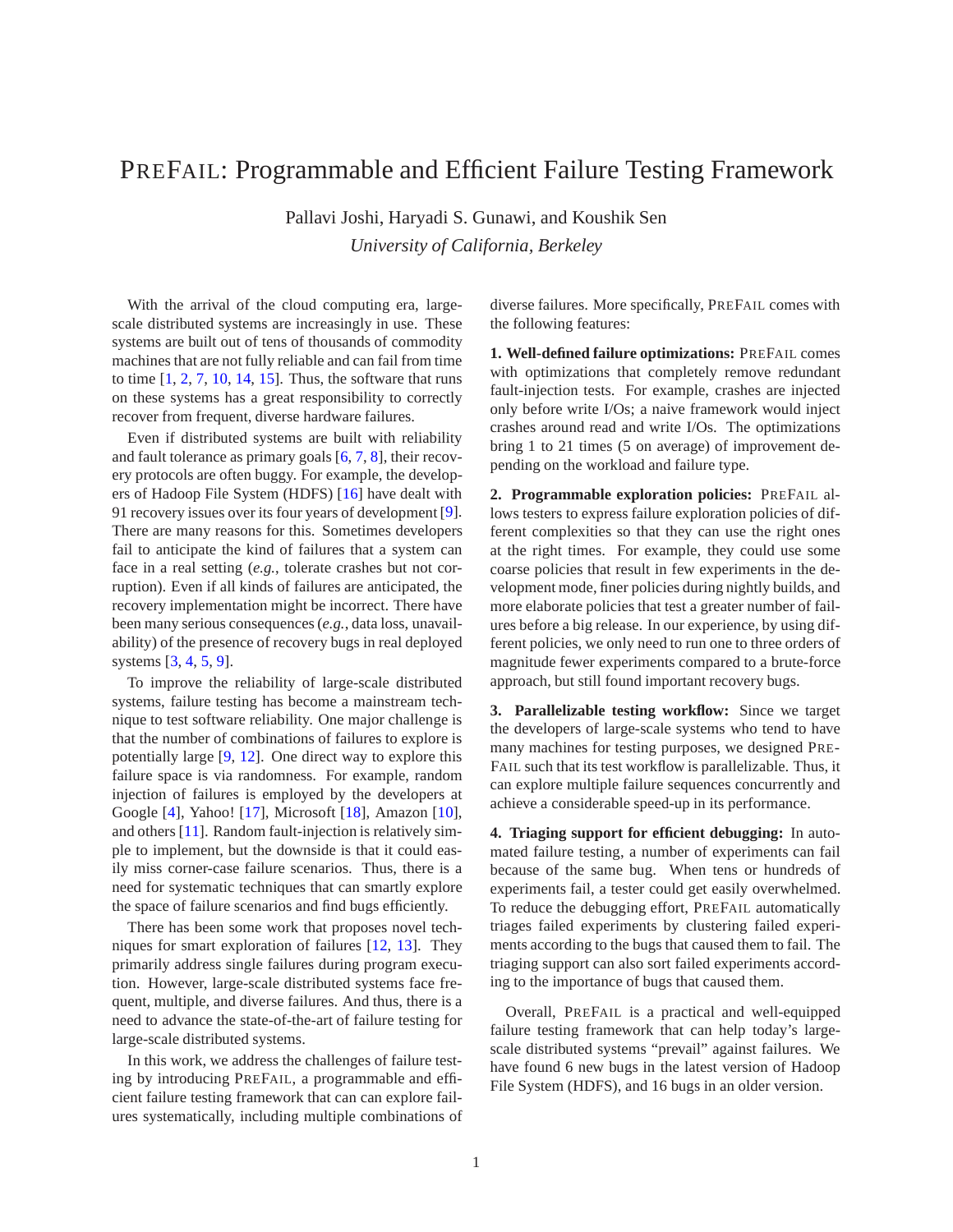## PREFAIL: Programmable and Efficient Failure Testing Framework

Pallavi Joshi, Haryadi S. Gunawi, and Koushik Sen *University of California, Berkeley*

With the arrival of the cloud computing era, largescale distributed systems are increasingly in use. These systems are built out of tens of thousands of commodity machines that are not fully reliable and can fail from time to time  $[1, 2, 7, 10, 14, 15]$  $[1, 2, 7, 10, 14, 15]$  $[1, 2, 7, 10, 14, 15]$  $[1, 2, 7, 10, 14, 15]$  $[1, 2, 7, 10, 14, 15]$  $[1, 2, 7, 10, 14, 15]$  $[1, 2, 7, 10, 14, 15]$  $[1, 2, 7, 10, 14, 15]$  $[1, 2, 7, 10, 14, 15]$  $[1, 2, 7, 10, 14, 15]$ . Thus, the software that runs on these systems has a great responsibility to correctly recover from frequent, diverse hardware failures.

Even if distributed systems are built with reliability and fault tolerance as primary goals [\[6,](#page-1-6) [7,](#page-1-2) [8\]](#page-1-7), their recovery protocols are often buggy. For example, the developers of Hadoop File System (HDFS) [\[16\]](#page-1-8) have dealt with 91 recovery issues over its four years of development [\[9\]](#page-1-9). There are many reasons for this. Sometimes developers fail to anticipate the kind of failures that a system can face in a real setting (*e.g.*, tolerate crashes but not corruption). Even if all kinds of failures are anticipated, the recovery implementation might be incorrect. There have been many serious consequences (*e.g.*, data loss, unavailability) of the presence of recovery bugs in real deployed systems [\[3,](#page-1-10) [4,](#page-1-11) [5,](#page-1-12) [9\]](#page-1-9).

To improve the reliability of large-scale distributed systems, failure testing has become a mainstream technique to test software reliability. One major challenge is that the number of combinations of failures to explore is potentially large [\[9,](#page-1-9) [12\]](#page-1-13). One direct way to explore this failure space is via randomness. For example, random injection of failures is employed by the developers at Google [\[4\]](#page-1-11), Yahoo! [\[17\]](#page-1-14), Microsoft [\[18\]](#page-1-15), Amazon [\[10\]](#page-1-3), and others [\[11\]](#page-1-16). Random fault-injection is relatively simple to implement, but the downside is that it could easily miss corner-case failure scenarios. Thus, there is a need for systematic techniques that can smartly explore the space of failure scenarios and find bugs efficiently.

There has been some work that proposes novel techniques for smart exploration of failures [\[12,](#page-1-13) [13\]](#page-1-17). They primarily address single failures during program execution. However, large-scale distributed systems face frequent, multiple, and diverse failures. And thus, there is a need to advance the state-of-the-art of failure testing for large-scale distributed systems.

In this work, we address the challenges of failure testing by introducing PREFAIL, a programmable and efficient failure testing framework that can can explore failures systematically, including multiple combinations of diverse failures. More specifically, PREFAIL comes with the following features:

**1. Well-defined failure optimizations:** PREFAIL comes with optimizations that completely remove redundant fault-injection tests. For example, crashes are injected only before write I/Os; a naive framework would inject crashes around read and write I/Os. The optimizations bring 1 to 21 times (5 on average) of improvement depending on the workload and failure type.

**2. Programmable exploration policies:** PREFAIL allows testers to express failure exploration policies of different complexities so that they can use the right ones at the right times. For example, they could use some coarse policies that result in few experiments in the development mode, finer policies during nightly builds, and more elaborate policies that test a greater number of failures before a big release. In our experience, by using different policies, we only need to run one to three orders of magnitude fewer experiments compared to a brute-force approach, but still found important recovery bugs.

**3. Parallelizable testing workflow:** Since we target the developers of large-scale systems who tend to have many machines for testing purposes, we designed PRE-FAIL such that its test workflow is parallelizable. Thus, it can explore multiple failure sequences concurrently and achieve a considerable speed-up in its performance.

**4. Triaging support for efficient debugging:** In automated failure testing, a number of experiments can fail because of the same bug. When tens or hundreds of experiments fail, a tester could get easily overwhelmed. To reduce the debugging effort, PREFAIL automatically triages failed experiments by clustering failed experiments according to the bugs that caused them to fail. The triaging support can also sort failed experiments according to the importance of bugs that caused them.

Overall, PREFAIL is a practical and well-equipped failure testing framework that can help today's largescale distributed systems "prevail" against failures. We have found 6 new bugs in the latest version of Hadoop File System (HDFS), and 16 bugs in an older version.